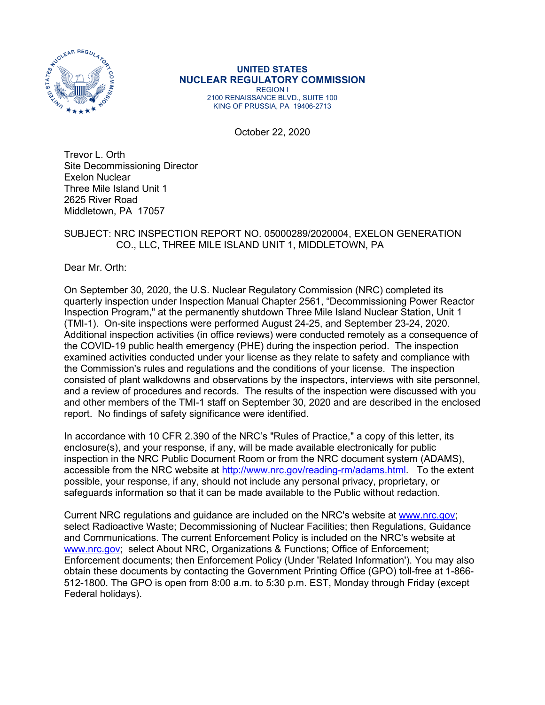

# **UNITED STATES NUCLEAR REGULATORY COMMISSION** REGION I

2100 RENAISSANCE BLVD., SUITE 100 KING OF PRUSSIA, PA 19406-2713

October 22, 2020

Trevor L. Orth Site Decommissioning Director Exelon Nuclear Three Mile Island Unit 1 2625 River Road Middletown, PA 17057

### SUBJECT: NRC INSPECTION REPORT NO. 05000289/2020004, EXELON GENERATION CO., LLC, THREE MILE ISLAND UNIT 1, MIDDLETOWN, PA

Dear Mr. Orth:

On September 30, 2020, the U.S. Nuclear Regulatory Commission (NRC) completed its quarterly inspection under Inspection Manual Chapter 2561, "Decommissioning Power Reactor Inspection Program," at the permanently shutdown Three Mile Island Nuclear Station, Unit 1 (TMI-1). On-site inspections were performed August 24-25, and September 23-24, 2020. Additional inspection activities (in office reviews) were conducted remotely as a consequence of the COVID-19 public health emergency (PHE) during the inspection period. The inspection examined activities conducted under your license as they relate to safety and compliance with the Commission's rules and regulations and the conditions of your license. The inspection consisted of plant walkdowns and observations by the inspectors, interviews with site personnel, and a review of procedures and records. The results of the inspection were discussed with you and other members of the TMI-1 staff on September 30, 2020 and are described in the enclosed report. No findings of safety significance were identified.

In accordance with 10 CFR 2.390 of the NRC's "Rules of Practice," a copy of this letter, its enclosure(s), and your response, if any, will be made available electronically for public inspection in the NRC Public Document Room or from the NRC document system (ADAMS), accessible from the NRC website at [http://www.nrc.gov/reading-rm/adams.html.](http://www.nrc.gov/reading-rm/adams.html) To the extent possible, your response, if any, should not include any personal privacy, proprietary, or safeguards information so that it can be made available to the Public without redaction.

Current NRC regulations and guidance are included on the NRC's website at [www.nrc.gov;](http://www.nrc.gov/) select Radioactive Waste; Decommissioning of Nuclear Facilities; then Regulations, Guidance and Communications. The current Enforcement Policy is included on the NRC's website at [www.nrc.gov;](http://www.nrc.gov/) select About NRC, Organizations & Functions; Office of Enforcement; Enforcement documents; then Enforcement Policy (Under 'Related Information'). You may also obtain these documents by contacting the Government Printing Office (GPO) toll-free at 1-866- 512-1800. The GPO is open from 8:00 a.m. to 5:30 p.m. EST, Monday through Friday (except Federal holidays).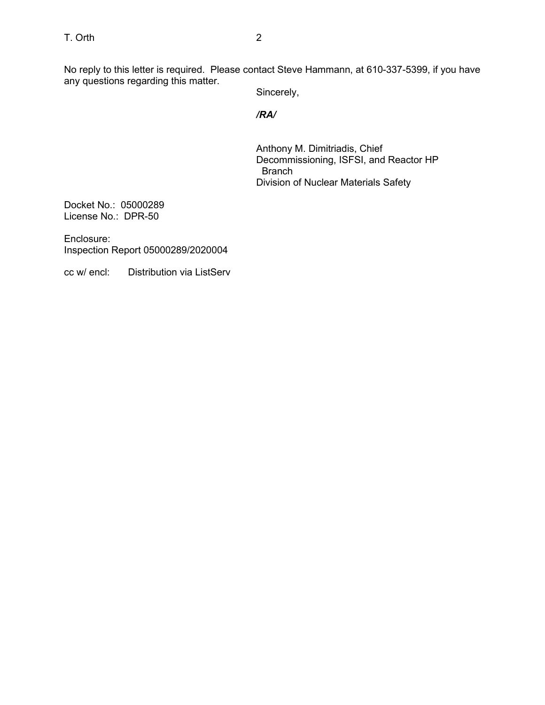No reply to this letter is required. Please contact Steve Hammann, at 610-337-5399, if you have any questions regarding this matter.

Sincerely,

## */RA/*

Anthony M. Dimitriadis, Chief Decommissioning, ISFSI, and Reactor HP Branch Division of Nuclear Materials Safety

Docket No.: 05000289 License No.: DPR-50

Enclosure: Inspection Report 05000289/2020004

cc w/ encl: Distribution via ListServ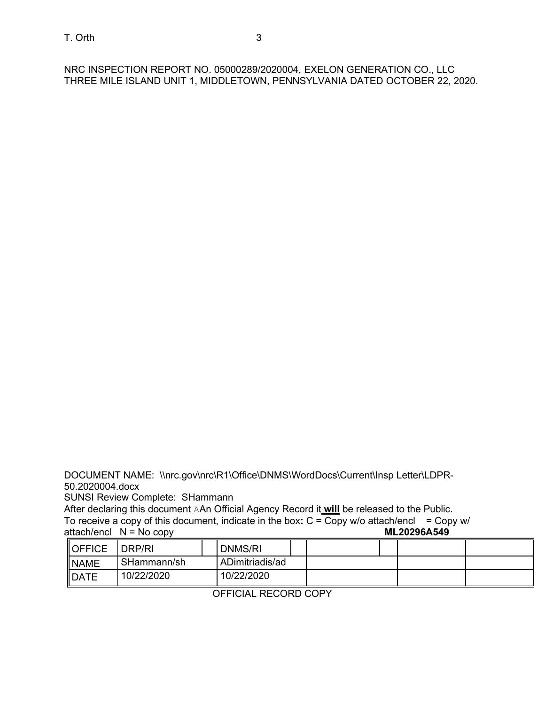NRC INSPECTION REPORT NO. 05000289/2020004, EXELON GENERATION CO., LLC THREE MILE ISLAND UNIT 1, MIDDLETOWN, PENNSYLVANIA DATED OCTOBER 22, 2020.

DOCUMENT NAME: \\nrc.gov\nrc\R1\Office\DNMS\WordDocs\Current\Insp Letter\LDPR-50.2020004.docx

SUNSI Review Complete: SHammann

After declaring this document AAn Official Agency Record it **will** be released to the Public.

To receive a copy of this document, indicate in the box: C = Copy w/o attach/encl = Copy w/<br>attach/encl N = No copy attach/encl N = No copy

| <b>IOFFICE</b> | DRP/RI      | <b>DNMS/RI</b>  |  |  |  |
|----------------|-------------|-----------------|--|--|--|
| <b>NAME</b>    | SHammann/sh | ADimitriadis/ad |  |  |  |
| <b>IDATE</b>   | 10/22/2020  | 10/22/2020      |  |  |  |

OFFICIAL RECORD COPY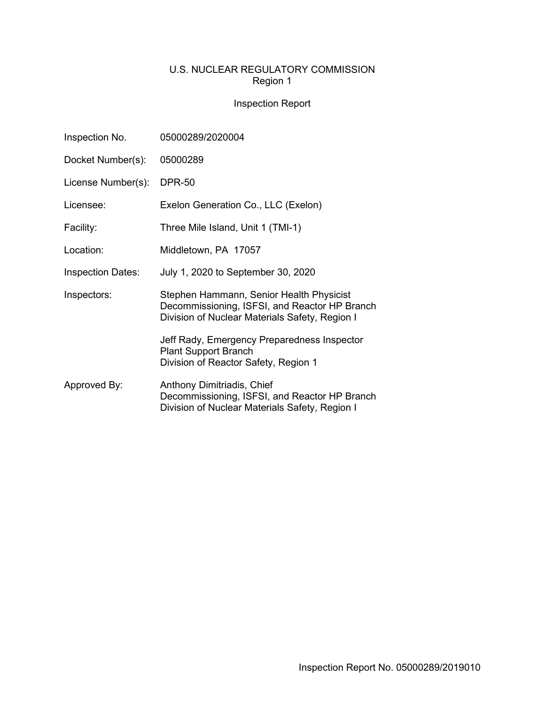# U.S. NUCLEAR REGULATORY COMMISSION Region 1

# Inspection Report

| Inspection No.           | 05000289/2020004                                                                                                                            |  |  |  |  |
|--------------------------|---------------------------------------------------------------------------------------------------------------------------------------------|--|--|--|--|
| Docket Number(s):        | 05000289                                                                                                                                    |  |  |  |  |
| License Number(s):       | <b>DPR-50</b>                                                                                                                               |  |  |  |  |
| Licensee:                | Exelon Generation Co., LLC (Exelon)                                                                                                         |  |  |  |  |
| Facility:                | Three Mile Island, Unit 1 (TMI-1)                                                                                                           |  |  |  |  |
| Location:                | Middletown, PA 17057                                                                                                                        |  |  |  |  |
| <b>Inspection Dates:</b> | July 1, 2020 to September 30, 2020                                                                                                          |  |  |  |  |
| Inspectors:              | Stephen Hammann, Senior Health Physicist<br>Decommissioning, ISFSI, and Reactor HP Branch<br>Division of Nuclear Materials Safety, Region I |  |  |  |  |
|                          | Jeff Rady, Emergency Preparedness Inspector<br><b>Plant Support Branch</b><br>Division of Reactor Safety, Region 1                          |  |  |  |  |
| Approved By:             | Anthony Dimitriadis, Chief<br>Decommissioning, ISFSI, and Reactor HP Branch<br>Division of Nuclear Materials Safety, Region I               |  |  |  |  |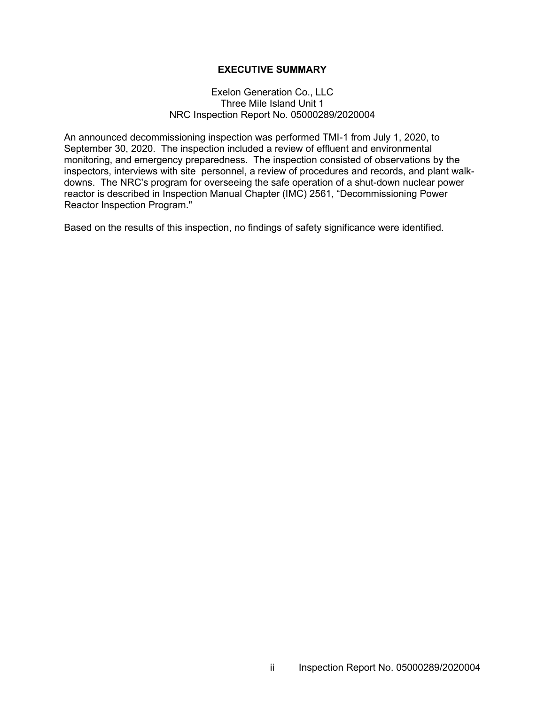### **EXECUTIVE SUMMARY**

#### Exelon Generation Co., LLC Three Mile Island Unit 1 NRC Inspection Report No. 05000289/2020004

An announced decommissioning inspection was performed TMI-1 from July 1, 2020, to September 30, 2020. The inspection included a review of effluent and environmental monitoring, and emergency preparedness. The inspection consisted of observations by the inspectors, interviews with site personnel, a review of procedures and records, and plant walkdowns. The NRC's program for overseeing the safe operation of a shut-down nuclear power reactor is described in Inspection Manual Chapter (IMC) 2561, "Decommissioning Power Reactor Inspection Program."

Based on the results of this inspection, no findings of safety significance were identified.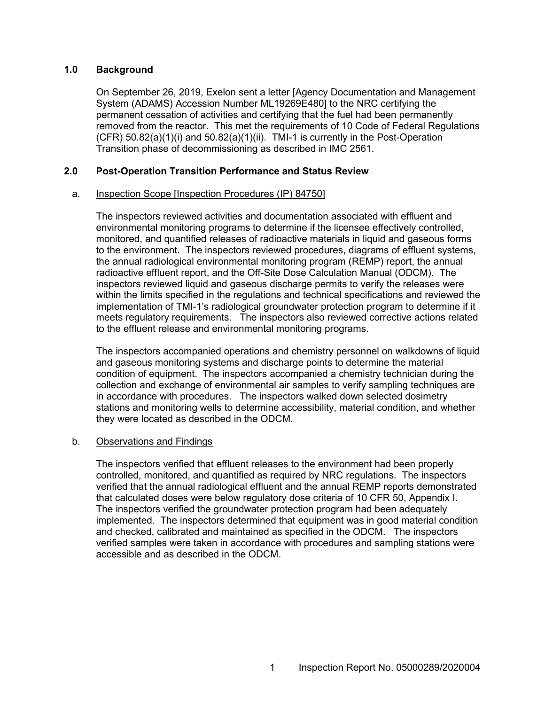### **1.0 Background**

On September 26, 2019, Exelon sent a letter [Agency Documentation and Management System (ADAMS) Accession Number ML19269E480] to the NRC certifying the permanent cessation of activities and certifying that the fuel had been permanently removed from the reactor. This met the requirements of 10 Code of Federal Regulations (CFR) 50.82(a)(1)(i) and 50.82(a)(1)(ii). TMI-1 is currently in the Post-Operation Transition phase of decommissioning as described in IMC 2561.

### **2.0 Post-Operation Transition Performance and Status Review**

#### a. Inspection Scope [Inspection Procedures (IP) 84750]

The inspectors reviewed activities and documentation associated with effluent and environmental monitoring programs to determine if the licensee effectively controlled, monitored, and quantified releases of radioactive materials in liquid and gaseous forms to the environment. The inspectors reviewed procedures, diagrams of effluent systems, the annual radiological environmental monitoring program (REMP) report, the annual radioactive effluent report, and the Off-Site Dose Calculation Manual (ODCM). The inspectors reviewed liquid and gaseous discharge permits to verify the releases were within the limits specified in the regulations and technical specifications and reviewed the implementation of TMI-1's radiological groundwater protection program to determine if it meets regulatory requirements. The inspectors also reviewed corrective actions related to the effluent release and environmental monitoring programs.

The inspectors accompanied operations and chemistry personnel on walkdowns of liquid and gaseous monitoring systems and discharge points to determine the material condition of equipment. The inspectors accompanied a chemistry technician during the collection and exchange of environmental air samples to verify sampling techniques are in accordance with procedures. The inspectors walked down selected dosimetry stations and monitoring wells to determine accessibility, material condition, and whether they were located as described in the ODCM.

#### b. Observations and Findings

The inspectors verified that effluent releases to the environment had been properly controlled, monitored, and quantified as required by NRC regulations. The inspectors verified that the annual radiological effluent and the annual REMP reports demonstrated that calculated doses were below regulatory dose criteria of 10 CFR 50, Appendix I. The inspectors verified the groundwater protection program had been adequately implemented. The inspectors determined that equipment was in good material condition and checked, calibrated and maintained as specified in the ODCM. The inspectors verified samples were taken in accordance with procedures and sampling stations were accessible and as described in the ODCM.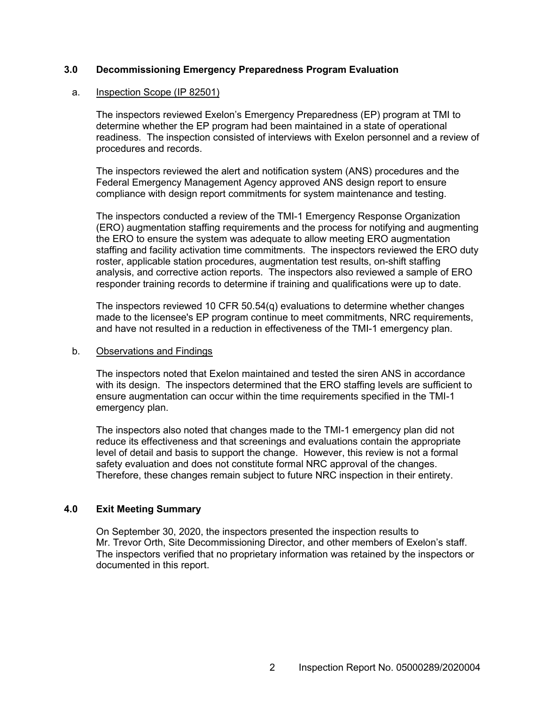### **3.0 Decommissioning Emergency Preparedness Program Evaluation**

#### a. Inspection Scope (IP 82501)

The inspectors reviewed Exelon's Emergency Preparedness (EP) program at TMI to determine whether the EP program had been maintained in a state of operational readiness. The inspection consisted of interviews with Exelon personnel and a review of procedures and records.

The inspectors reviewed the alert and notification system (ANS) procedures and the Federal Emergency Management Agency approved ANS design report to ensure compliance with design report commitments for system maintenance and testing.

The inspectors conducted a review of the TMI-1 Emergency Response Organization (ERO) augmentation staffing requirements and the process for notifying and augmenting the ERO to ensure the system was adequate to allow meeting ERO augmentation staffing and facility activation time commitments. The inspectors reviewed the ERO duty roster, applicable station procedures, augmentation test results, on-shift staffing analysis, and corrective action reports. The inspectors also reviewed a sample of ERO responder training records to determine if training and qualifications were up to date.

The inspectors reviewed 10 CFR 50.54(q) evaluations to determine whether changes made to the licensee's EP program continue to meet commitments, NRC requirements, and have not resulted in a reduction in effectiveness of the TMI-1 emergency plan.

#### b. Observations and Findings

The inspectors noted that Exelon maintained and tested the siren ANS in accordance with its design. The inspectors determined that the ERO staffing levels are sufficient to ensure augmentation can occur within the time requirements specified in the TMI-1 emergency plan.

The inspectors also noted that changes made to the TMI-1 emergency plan did not reduce its effectiveness and that screenings and evaluations contain the appropriate level of detail and basis to support the change. However, this review is not a formal safety evaluation and does not constitute formal NRC approval of the changes. Therefore, these changes remain subject to future NRC inspection in their entirety.

#### **4.0 Exit Meeting Summary**

On September 30, 2020, the inspectors presented the inspection results to Mr. Trevor Orth, Site Decommissioning Director, and other members of Exelon's staff. The inspectors verified that no proprietary information was retained by the inspectors or documented in this report.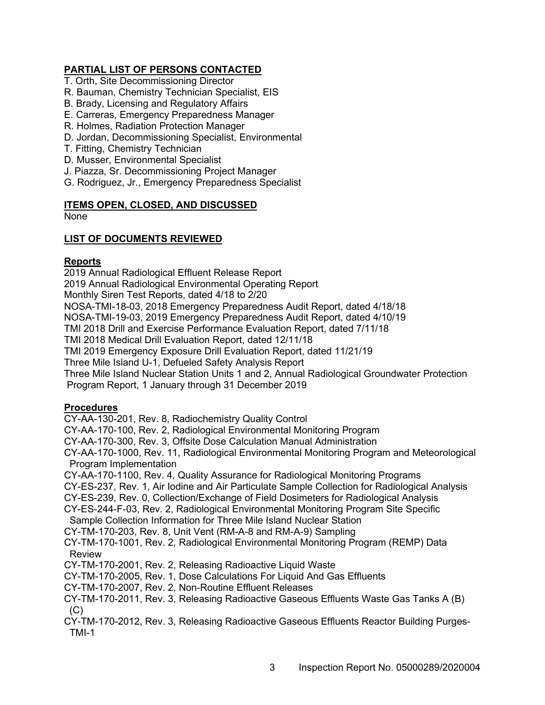# **PARTIAL LIST OF PERSONS CONTACTED**

- T. Orth, Site Decommissioning Director
- R. Bauman, Chemistry Technician Specialist, EIS
- B. Brady, Licensing and Regulatory Affairs
- E. Carreras, Emergency Preparedness Manager
- R. Holmes, Radiation Protection Manager
- D. Jordan, Decommissioning Specialist, Environmental
- T. Fitting, Chemistry Technician
- D. Musser, Environmental Specialist
- J. Piazza, Sr. Decommissioning Project Manager
- G. Rodriguez, Jr., Emergency Preparedness Specialist

### **ITEMS OPEN, CLOSED, AND DISCUSSED**

None

## **LIST OF DOCUMENTS REVIEWED**

#### **Reports**

2019 Annual Radiological Effluent Release Report 2019 Annual Radiological Environmental Operating Report Monthly Siren Test Reports, dated 4/18 to 2/20 NOSA-TMI-18-03, 2018 Emergency Preparedness Audit Report, dated 4/18/18 NOSA-TMI-19-03, 2019 Emergency Preparedness Audit Report, dated 4/10/19 TMI 2018 Drill and Exercise Performance Evaluation Report, dated 7/11/18 TMI 2018 Medical Drill Evaluation Report, dated 12/11/18 TMI 2019 Emergency Exposure Drill Evaluation Report, dated 11/21/19 Three Mile Island U-1, Defueled Safety Analysis Report Three Mile Island Nuclear Station Units 1 and 2, Annual Radiological Groundwater Protection Program Report, 1 January through 31 December 2019 **Procedures** CY-AA-130-201, Rev. 8, Radiochemistry Quality Control CY-AA-170-100, Rev. 2, Radiological Environmental Monitoring Program CY-AA-170-300, Rev. 3, Offsite Dose Calculation Manual Administration CY-AA-170-1000, Rev. 11, Radiological Environmental Monitoring Program and Meteorological Program Implementation CY-AA-170-1100, Rev. 4, Quality Assurance for Radiological Monitoring Programs CY-ES-237, Rev. 1, Air Iodine and Air Particulate Sample Collection for Radiological Analysis CY-ES-239, Rev. 0, Collection/Exchange of Field Dosimeters for Radiological Analysis CY-ES-244-F-03, Rev. 2, Radiological Environmental Monitoring Program Site Specific

### Sample Collection Information for Three Mile Island Nuclear Station

CY-TM-170-203, Rev. 8, Unit Vent (RM-A-8 and RM-A-9) Sampling

CY-TM-170-1001, Rev. 2, Radiological Environmental Monitoring Program (REMP) Data Review

CY-TM-170-2001, Rev. 2, Releasing Radioactive Liquid Waste

CY-TM-170-2005, Rev. 1, Dose Calculations For Liquid And Gas Effluents

- CY-TM-170-2007, Rev. 2, Non-Routine Effluent Releases
- CY-TM-170-2011, Rev. 3, Releasing Radioactive Gaseous Effluents Waste Gas Tanks A (B)  $(C)$
- CY-TM-170-2012, Rev. 3, Releasing Radioactive Gaseous Effluents Reactor Building Purges-TMI-1